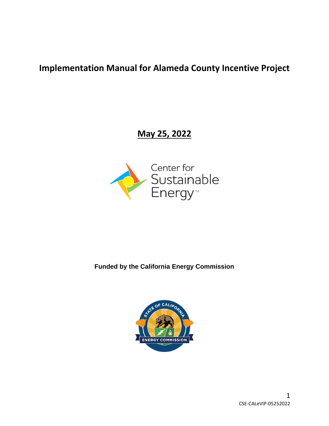# **Implementation Manual for Alameda County Incentive Project**

# **May 25, 2022**



# **Funded by the California Energy Commission**

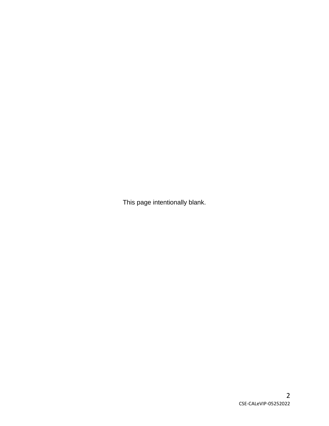This page intentionally blank.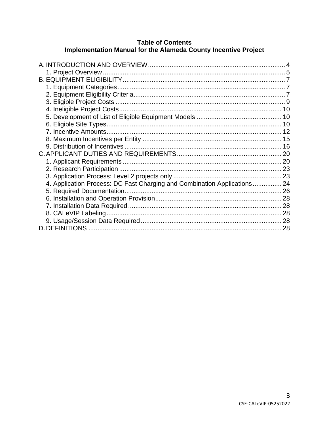### **Table of Contents** Implementation Manual for the Alameda County Incentive Project

| 4. Application Process: DC Fast Charging and Combination Applications 24 |  |
|--------------------------------------------------------------------------|--|
|                                                                          |  |
|                                                                          |  |
|                                                                          |  |
|                                                                          |  |
|                                                                          |  |
|                                                                          |  |
|                                                                          |  |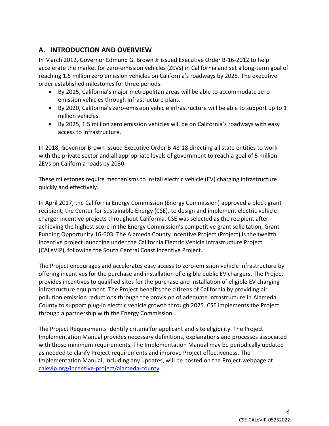### <span id="page-3-0"></span>**A. INTRODUCTION AND OVERVIEW**

In March 2012, Governor Edmund G. Brown Jr issued Executive Order B-16-2012 to help accelerate the market for zero-emission vehicles (ZEVs) in California and set a long-term goal of reaching 1.5 million zero emission vehicles on California's roadways by 2025. The executive order established milestones for three periods:

- By 2015, California's major metropolitan areas will be able to accommodate zero emission vehicles through infrastructure plans.
- By 2020, California's zero-emission vehicle infrastructure will be able to support up to 1 million vehicles.
- By 2025, 1.5 million zero emission vehicles will be on California's roadways with easy access to infrastructure.

In 2018, Governor Brown issued Executive Order B-48-18 directing all state entities to work with the private sector and all appropriate levels of government to reach a goal of 5 million ZEVs on California roads by 2030.

These milestones require mechanisms to install electric vehicle (EV) charging infrastructure quickly and effectively.

In April 2017, the California Energy Commission (Energy Commission) approved a block grant recipient, the Center for Sustainable Energy (CSE), to design and implement electric vehicle charger incentive projects throughout California. CSE was selected as the recipient after achieving the highest score in the Energy Commission's competitive grant solicitation, Grant Funding Opportunity 16-603. The Alameda County Incentive Project (Project) is the twelfth incentive project launching under the California Electric Vehicle Infrastructure Project (CALeVIP), following the South Central Coast Incentive Project.

The Project encourages and accelerates easy access to zero-emission vehicle infrastructure by offering incentives for the purchase and installation of eligible public EV chargers. The Project provides incentives to qualified sites for the purchase and installation of eligible EV charging infrastructure equipment. The Project benefits the citizens of California by providing air pollution emission reductions through the provision of adequate infrastructure in Alameda County to support plug-in electric vehicle growth through 2025. CSE implements the Project through a partnership with the Energy Commission.

The Project Requirements identify criteria for applicant and site eligibility. The Project Implementation Manual provides necessary definitions, explanations and processes associated with those minimum requirements. The Implementation Manual may be periodically updated as needed to clarify Project requirements and improve Project effectiveness. The Implementation Manual, including any updates, will be posted on the Project webpage at [calevip.org/incentive-project/alameda-county.](https://calevip.org/incentive-project/alameda-county)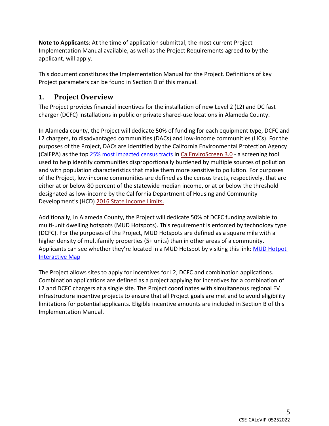**Note to Applicants**: At the time of application submittal, the most current Project Implementation Manual available, as well as the Project Requirements agreed to by the applicant, will apply.

This document constitutes the Implementation Manual for the Project. Definitions of key Project parameters can be found in Section D of this manual.

### <span id="page-4-0"></span>**1. Project Overview**

The Project provides financial incentives for the installation of new Level 2 (L2) and DC fast charger (DCFC) installations in public or private shared-use locations in Alameda County.

In Alameda county, the Project will dedicate 50% of funding for each equipment type, DCFC and L2 chargers, to disadvantaged communities (DACs) and low-income communities (LICs). For the purposes of the Project, DACs are identified by the California Environmental Protection Agency (CalEPA) as the top [25% most impacted census tracts](https://webmaps.arb.ca.gov/PriorityPopulations/) in [CalEnviroScreen](https://oehha.ca.gov/calenviroscreen/report/calenviroscreen-30) 3.0 - a screening tool used to help identify communities disproportionally burdened by multiple sources of pollution and with population characteristics that make them more sensitive to pollution. For purposes of the Project, low-income communities are defined as the census tracts, respectively, that are either at or below 80 percent of the statewide median income, or at or below the threshold designated as low-income by the California Department of Housing and Community Development's (HCD) 2016 State [Income](http://www.hcd.ca.gov/grants-funding/income-limits/state-and-federal-income-limits/docs/inc2k16.pdf) Limits.

Additionally, in Alameda County, the Project will dedicate 50% of DCFC funding available to multi-unit dwelling hotspots (MUD Hotspots). This requirement is enforced by technology type (DCFC). For the purposes of the Project, MUD Hotspots are defined as a square mile with a higher density of multifamily properties (5+ units) than in other areas of a community. Applicants can see whether they're located in a MUD Hotspot by visiting this link: [MUD Hotpot](https://www.google.com/maps/d/edit?mid=1IiJxkT5Rgg7wdcTRpOxplX6f0-tJjuEQ&usp=sharing)  [Interactive Map](https://www.google.com/maps/d/edit?mid=1IiJxkT5Rgg7wdcTRpOxplX6f0-tJjuEQ&usp=sharing)

The Project allows sites to apply for incentives for L2, DCFC and combination applications. Combination applications are defined as a project applying for incentives for a combination of L2 and DCFC chargers at a single site. The Project coordinates with simultaneous regional EV infrastructure incentive projects to ensure that all Project goals are met and to avoid eligibility limitations for potential applicants. Eligible incentive amounts are included in Section B of this Implementation Manual.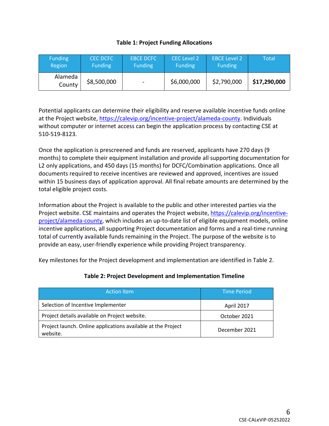#### **Table 1: Project Funding Allocations**

| <b>Funding</b>    | <b>CEC DCFC</b> | <b>EBCE DCFC</b> | <b>CEC</b> Level 2 | <b>EBCE Level 2</b> | Total        |
|-------------------|-----------------|------------------|--------------------|---------------------|--------------|
| Region            | <b>Funding</b>  | <b>Funding</b>   | <b>Funding</b>     | <b>Funding</b>      |              |
| Alameda<br>County | \$8,500,000     | $\blacksquare$   | \$6,000,000        | \$2,790,000         | \$17,290,000 |

Potential applicants can determine their eligibility and reserve available incentive funds online at the Project website, [https://calevip.org/incentive-project/alameda-county.](https://calevip.org/incentive-project/alameda-county) Individuals without computer or internet access can begin the application process by contacting CSE at 510-519-8123.

Once the application is prescreened and funds are reserved, applicants have 270 days (9 months) to complete their equipment installation and provide all supporting documentation for L2 only applications, and 450 days (15 months) for DCFC/Combination applications. Once all documents required to receive incentives are reviewed and approved, incentives are issued within 15 business days of application approval. All final rebate amounts are determined by the total eligible project costs.

Information about the Project is available to the public and other interested parties via the Project website. CSE maintains and operates the Project website, [https://calevip.org/incentive](https://calevip.org/incentive-project/alameda-county)[project/alameda-county,](https://calevip.org/incentive-project/alameda-county) which includes an up-to-date list of eligible equipment models, online incentive applications, all supporting Project documentation and forms and a real-time running total of currently available funds remaining in the Project. The purpose of the website is to provide an easy, user-friendly experience while providing Project transparency.

Key milestones for the Project development and implementation are identified in Table 2.

| <b>Action Item</b>                                                       | <b>Time Period</b> |
|--------------------------------------------------------------------------|--------------------|
| Selection of Incentive Implementer                                       | April 2017         |
| Project details available on Project website.                            | October 2021       |
| Project launch. Online applications available at the Project<br>website. | December 2021      |

#### **Table 2: Project Development and Implementation Timeline**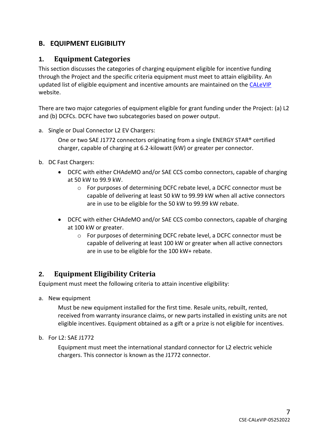### <span id="page-6-0"></span>**B. EQUIPMENT ELIGIBILITY**

### <span id="page-6-1"></span>**1. Equipment Categories**

This section discusses the categories of charging equipment eligible for incentive funding through the Project and the specific criteria equipment must meet to attain eligibility. An updated list of eligible equipment and incentive amounts are maintained on the [CALeVIP](https://calevip.org/calevip-eligible-equipment) website.

There are two major categories of equipment eligible for grant funding under the Project: (a) L2 and (b) DCFCs. DCFC have two subcategories based on power output.

a. Single or Dual Connector L2 EV Chargers:

One or two SAE J1772 connectors originating from a single ENERGY STAR® certified charger, capable of charging at 6.2-kilowatt (kW) or greater per connector.

- b. DC Fast Chargers:
	- DCFC with either CHAdeMO and/or SAE CCS combo connectors, capable of charging at 50 kW to 99.9 kW.
		- $\circ$  For purposes of determining DCFC rebate level, a DCFC connector must be capable of delivering at least 50 kW to 99.99 kW when all active connectors are in use to be eligible for the 50 kW to 99.99 kW rebate.
	- DCFC with either CHAdeMO and/or SAE CCS combo connectors, capable of charging at 100 kW or greater.
		- o For purposes of determining DCFC rebate level, a DCFC connector must be capable of delivering at least 100 kW or greater when all active connectors are in use to be eligible for the 100 kW+ rebate.

### <span id="page-6-2"></span>**2. Equipment Eligibility Criteria**

Equipment must meet the following criteria to attain incentive eligibility:

a. New equipment

Must be new equipment installed for the first time. Resale units, rebuilt, rented, received from warranty insurance claims, or new parts installed in existing units are not eligible incentives. Equipment obtained as a gift or a prize is not eligible for incentives.

b. For L2: SAE J1772

Equipment must meet the international standard connector for L2 electric vehicle chargers. This connector is known as the J1772 connector.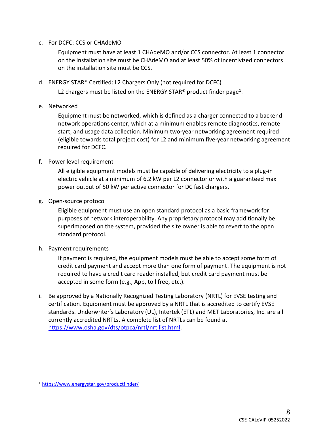c. For DCFC: CCS or CHAdeMO

Equipment must have at least 1 CHAdeMO and/or CCS connector. At least 1 connector on the installation site must be CHAdeMO and at least 50% of incentivized connectors on the installation site must be CCS.

d. ENERGY STAR® Certified: L2 Chargers Only (not required for DCFC)

L2 chargers must be listed on the ENERGY STAR® product finder page<sup>1</sup>.

e. Networked

Equipment must be networked, which is defined as a charger connected to a backend network operations center, which at a minimum enables remote diagnostics, remote start, and usage data collection. Minimum two-year networking agreement required (eligible towards total project cost) for L2 and minimum five-year networking agreement required for DCFC.

f. Power level requirement

All eligible equipment models must be capable of delivering electricity to a plug-in electric vehicle at a minimum of 6.2 kW per L2 connector or with a guaranteed max power output of 50 kW per active connector for DC fast chargers.

g. Open-source protocol

Eligible equipment must use an open standard protocol as a basic framework for purposes of network interoperability. Any proprietary protocol may additionally be superimposed on the system, provided the site owner is able to revert to the open standard protocol.

h. Payment requirements

If payment is required, the equipment models must be able to accept some form of credit card payment and accept more than one form of payment. The equipment is not required to have a credit card reader installed, but credit card payment must be accepted in some form (e.g., App, toll free, etc.).

i. Be approved by a Nationally Recognized Testing Laboratory (NRTL) for EVSE testing and certification. Equipment must be approved by a NRTL that is accredited to certify EVSE standards. Underwriter's Laboratory (UL), Intertek (ETL) and MET Laboratories, Inc. are all currently accredited NRTLs. A complete list of NRTLs can be found at [https://www.osha.gov/dts/otpca/nrtl/nrtllist.html.](https://www.osha.gov/dts/otpca/nrtl/nrtllist.html)

<sup>1</sup> <https://www.energystar.gov/productfinder/>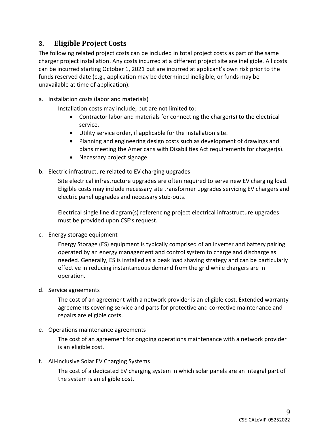### <span id="page-8-0"></span>**3. Eligible Project Costs**

The following related project costs can be included in total project costs as part of the same charger project installation. Any costs incurred at a different project site are ineligible. All costs can be incurred starting October 1, 2021 but are incurred at applicant's own risk prior to the funds reserved date (e.g., application may be determined ineligible, or funds may be unavailable at time of application).

a. Installation costs (labor and materials)

Installation costs may include, but are not limited to:

- Contractor labor and materials for connecting the charger(s) to the electrical service.
- Utility service order, if applicable for the installation site.
- Planning and engineering design costs such as development of drawings and plans meeting the Americans with Disabilities Act requirements for charger(s).
- Necessary project signage.
- b. Electric infrastructure related to EV charging upgrades

Site electrical infrastructure upgrades are often required to serve new EV charging load. Eligible costs may include necessary site transformer upgrades servicing EV chargers and electric panel upgrades and necessary stub-outs.

Electrical single line diagram(s) referencing project electrical infrastructure upgrades must be provided upon CSE's request.

c. Energy storage equipment

Energy Storage (ES) equipment is typically comprised of an inverter and battery pairing operated by an energy management and control system to charge and discharge as needed. Generally, ES is installed as a peak load shaving strategy and can be particularly effective in reducing instantaneous demand from the grid while chargers are in operation.

d. Service agreements

The cost of an agreement with a network provider is an eligible cost. Extended warranty agreements covering service and parts for protective and corrective maintenance and repairs are eligible costs.

e. Operations maintenance agreements

The cost of an agreement for ongoing operations maintenance with a network provider is an eligible cost.

f. All-inclusive Solar EV Charging Systems

The cost of a dedicated EV charging system in which solar panels are an integral part of the system is an eligible cost.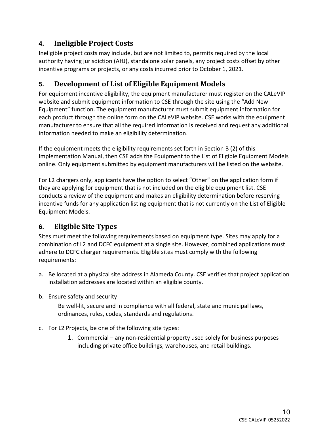# <span id="page-9-0"></span>**4. Ineligible Project Costs**

Ineligible project costs may include, but are not limited to, permits required by the local authority having jurisdiction (AHJ), standalone solar panels, any project costs offset by other incentive programs or projects, or any costs incurred prior to October 1, 2021.

# <span id="page-9-1"></span>**5. Development of List of Eligible Equipment Models**

For equipment incentive eligibility, the equipment manufacturer must register on the CALeVIP website and submit equipment information to CSE through the site using the "Add New Equipment" function. The equipment manufacturer must submit equipment information for each product through the online form on the CALeVIP website. CSE works with the equipment manufacturer to ensure that all the required information is received and request any additional information needed to make an eligibility determination.

If the equipment meets the eligibility requirements set forth in Section B (2) of this Implementation Manual, then CSE adds the Equipment to the List of Eligible Equipment Models online. Only equipment submitted by equipment manufacturers will be listed on the website.

For L2 chargers only, applicants have the option to select "Other" on the application form if they are applying for equipment that is not included on the eligible equipment list. CSE conducts a review of the equipment and makes an eligibility determination before reserving incentive funds for any application listing equipment that is not currently on the List of Eligible Equipment Models.

# <span id="page-9-2"></span>**6. Eligible Site Types**

Sites must meet the following requirements based on equipment type. Sites may apply for a combination of L2 and DCFC equipment at a single site. However, combined applications must adhere to DCFC charger requirements. Eligible sites must comply with the following requirements:

- a. Be located at a physical site address in Alameda County. CSE verifies that project application installation addresses are located within an eligible county.
- b. Ensure safety and security

Be well-lit, secure and in compliance with all federal, state and municipal laws, ordinances, rules, codes, standards and regulations.

- c. For L2 Projects, be one of the following site types:
	- 1. Commercial any non-residential property used solely for business purposes including private office buildings, warehouses, and retail buildings.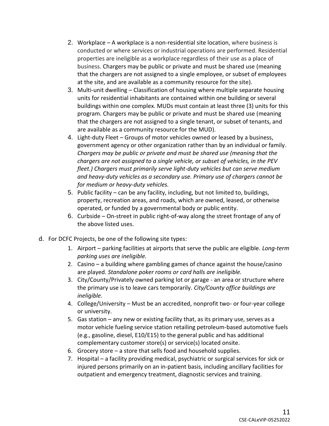- 2. Workplace A workplace is a non-residential site location, where business is conducted or where services or industrial operations are performed. Residential properties are ineligible as a workplace regardless of their use as a place of business. Chargers may be public or private and must be shared use (meaning that the chargers are not assigned to a single employee, or subset of employees at the site, and are available as a community resource for the site).
- 3. Multi-unit dwelling Classification of housing where multiple separate housing units for residential inhabitants are contained within one building or several buildings within one complex. MUDs must contain at least three (3) units for this program. Chargers may be public or private and must be shared use (meaning that the chargers are not assigned to a single tenant, or subset of tenants, and are available as a community resource for the MUD).
- 4. Light-duty Fleet Groups of motor vehicles owned or leased by a business, government agency or other organization rather than by an individual or family. *Chargers may be public or private and must be shared use (meaning that the chargers are not assigned to a single vehicle, or subset of vehicles, in the PEV fleet.) Chargers must primarily serve light-duty vehicles but can serve medium and heavy-duty vehicles as a secondary use. Primary use of chargers cannot be for medium or heavy-duty vehicles.*
- 5. Public facility can be any facility, including, but not limited to, buildings, property, recreation areas, and roads, which are owned, leased, or otherwise operated, or funded by a governmental body or public entity.
- 6. Curbside On-street in public right-of-way along the street frontage of any of the above listed uses.
- d. For DCFC Projects, be one of the following site types:
	- 1. Airport parking facilities at airports that serve the public are eligible. *Long-term parking uses are ineligible.*
	- 2. Casino a building where gambling games of chance against the house/casino are played. *Standalone poker rooms or card halls are ineligible.*
	- 3. City/County/Privately owned parking lot or garage an area or structure where the primary use is to leave cars temporarily. *City/County office buildings are ineligible.*
	- 4. College/University Must be an accredited, nonprofit two- or four-year college or university.
	- 5. Gas station any new or existing facility that, as its primary use, serves as a motor vehicle fueling service station retailing petroleum-based automotive fuels (e.g., gasoline, diesel, E10/E15) to the general public and has additional complementary customer store(s) or service(s) located onsite.
	- 6. Grocery store a store that sells food and household supplies.
	- 7. Hospital a facility providing medical, psychiatric or surgical services for sick or injured persons primarily on an in-patient basis, including ancillary facilities for outpatient and emergency treatment, diagnostic services and training.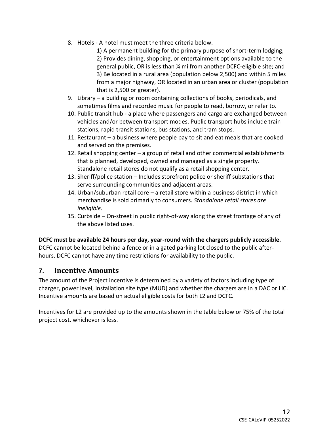- 8. Hotels A hotel must meet the three criteria below.
	- 1) A permanent building for the primary purpose of short-term lodging; 2) Provides dining, shopping, or entertainment options available to the general public, OR is less than ¼ mi from another DCFC-eligible site; and 3) Be located in a rural area (population below 2,500) and within 5 miles from a major highway, OR located in an urban area or cluster (population that is 2,500 or greater).
- 9. Library a building or room containing collections of books, periodicals, and sometimes films and recorded music for people to read, borrow, or refer to.
- 10. Public transit hub a place where passengers and cargo are exchanged between vehicles and/or between transport modes. Public transport hubs include train stations, rapid transit stations, bus stations, and tram stops.
- 11. Restaurant a business where people pay to sit and eat meals that are cooked and served on the premises.
- 12. Retail shopping center a group of retail and other commercial establishments that is planned, developed, owned and managed as a single property. Standalone retail stores do not qualify as a retail shopping center.
- 13. Sheriff/police station Includes storefront police or sheriff substations that serve surrounding communities and adjacent areas.
- 14. Urban/suburban retail core a retail store within a business district in which merchandise is sold primarily to consumers. *Standalone retail stores are ineligible.*
- 15. Curbside On-street in public right-of-way along the street frontage of any of the above listed uses.

**DCFC must be available 24 hours per day, year-round with the chargers publicly accessible.** DCFC cannot be located behind a fence or in a gated parking lot closed to the public afterhours. DCFC cannot have any time restrictions for availability to the public.

### <span id="page-11-0"></span>**7. Incentive Amounts**

The amount of the Project incentive is determined by a variety of factors including type of charger, power level, installation site type (MUD) and whether the chargers are in a DAC or LIC. Incentive amounts are based on actual eligible costs for both L2 and DCFC.

Incentives for L2 are provided up to the amounts shown in the table below or 75% of the total project cost, whichever is less.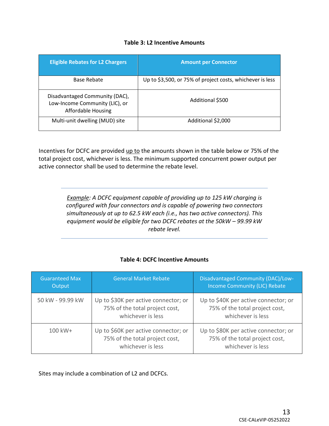#### **Table 3: L2 Incentive Amounts**

| <b>Eligible Rebates for L2 Chargers</b>                                                       | <b>Amount per Connector</b>                               |
|-----------------------------------------------------------------------------------------------|-----------------------------------------------------------|
| Base Rebate                                                                                   | Up to \$3,500, or 75% of project costs, whichever is less |
| Disadvantaged Community (DAC),<br>Low-Income Community (LIC), or<br><b>Affordable Housing</b> | Additional \$500                                          |
| Multi-unit dwelling (MUD) site                                                                | Additional \$2,000                                        |

Incentives for DCFC are provided up to the amounts shown in the table below or 75% of the total project cost, whichever is less. The minimum supported concurrent power output per active connector shall be used to determine the rebate level.

> *Example: A DCFC equipment capable of providing up to 125 kW charging is configured with four connectors and is capable of powering two connectors simultaneously at up to 62.5 kW each (i.e., has two active connectors). This equipment would be eligible for two DCFC rebates at the 50kW – 99.99 kW rebate level.*

#### **Table 4: DCFC Incentive Amounts**

| <b>Guaranteed Max</b><br>Output | <b>General Market Rebate</b>                                                                | <b>Disadvantaged Community (DAC)/Low-</b><br>Income Community (LIC) Rebate                  |
|---------------------------------|---------------------------------------------------------------------------------------------|---------------------------------------------------------------------------------------------|
| 50 kW - 99.99 kW                | Up to \$30K per active connector; or<br>75% of the total project cost,<br>whichever is less | Up to \$40K per active connector; or<br>75% of the total project cost,<br>whichever is less |
| $100$ kW+                       | Up to \$60K per active connector; or<br>75% of the total project cost,<br>whichever is less | Up to \$80K per active connector; or<br>75% of the total project cost,<br>whichever is less |

Sites may include a combination of L2 and DCFCs.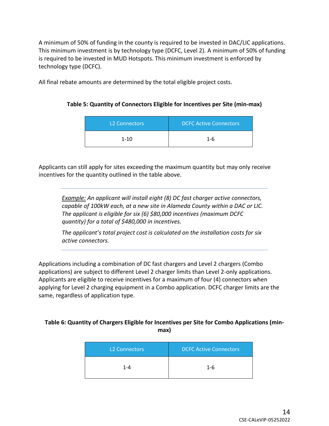A minimum of 50% of funding in the county is required to be invested in DAC/LIC applications. This minimum investment is by technology type (DCFC, Level 2). A minimum of 50% of funding is required to be invested in MUD Hotspots. This minimum investment is enforced by technology type (DCFC).

All final rebate amounts are determined by the total eligible project costs.

| L <sub>2</sub> Connectors | <b>DCFC Active Connectors</b> |
|---------------------------|-------------------------------|
| $1 - 10$                  | $1 - 6$                       |

#### **Table 5: Quantity of Connectors Eligible for Incentives per Site (min-max)**

Applicants can still apply for sites exceeding the maximum quantity but may only receive incentives for the quantity outlined in the table above.

*Example: An applicant will install eight (8) DC fast charger active connectors, capable of 100kW each, at a new site in Alameda County within a DAC or LIC. The applicant is eligible for six (6) \$80,000 incentives (maximum DCFC quantity) for a total of \$480,000 in incentives.*

*The applicant's total project cost is calculated on the installation costs for six active connectors.*

Applications including a combination of DC fast chargers and Level 2 chargers (Combo applications) are subject to different Level 2 charger limits than Level 2-only applications. Applicants are eligible to receive incentives for a maximum of four (4) connectors when applying for Level 2 charging equipment in a Combo application. DCFC charger limits are the same, regardless of application type.

#### **Table 6: Quantity of Chargers Eligible for Incentives per Site for Combo Applications (minmax)**

| L2 Connectors | <b>DCFC Active Connectors</b> |
|---------------|-------------------------------|
| $1 - 4$       | $1 - 6$                       |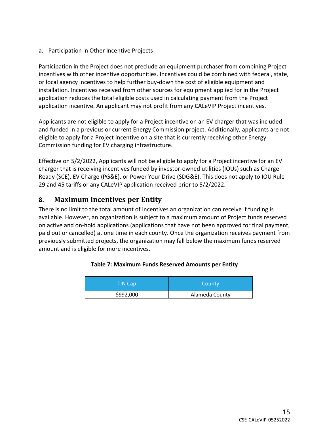a. Participation in Other Incentive Projects

Participation in the Project does not preclude an equipment purchaser from combining Project incentives with other incentive opportunities. Incentives could be combined with federal, state, or local agency incentives to help further buy-down the cost of eligible equipment and installation. Incentives received from other sources for equipment applied for in the Project application reduces the total eligible costs used in calculating payment from the Project application incentive. An applicant may not profit from any CALeVIP Project incentives.

Applicants are not eligible to apply for a Project incentive on an EV charger that was included and funded in a previous or current Energy Commission project. Additionally, applicants are not eligible to apply for a Project incentive on a site that is currently receiving other Energy Commission funding for EV charging infrastructure.

Effective on 5/2/2022, Applicants will not be eligible to apply for a Project incentive for an EV charger that is receiving incentives funded by investor-owned utilities (IOUs) such as Charge Ready (SCE), EV Charge (PG&E), or Power Your Drive (SDG&E). This does not apply to IOU Rule 29 and 45 tariffs or any CALeVIP application received prior to 5/2/2022.

### <span id="page-14-0"></span>**8. Maximum Incentives per Entity**

There is no limit to the total amount of incentives an organization can receive if funding is available. However, an organization is subject to a maximum amount of Project funds reserved on active and on-hold applications (applications that have not been approved for final payment, paid out or cancelled) at one time in each county. Once the organization receives payment from previously submitted projects, the organization may fall below the maximum funds reserved amount and is eligible for more incentives.

| <b>TIN Cap</b> | County         |
|----------------|----------------|
| \$992,000      | Alameda County |

#### **Table 7: Maximum Funds Reserved Amounts per Entity**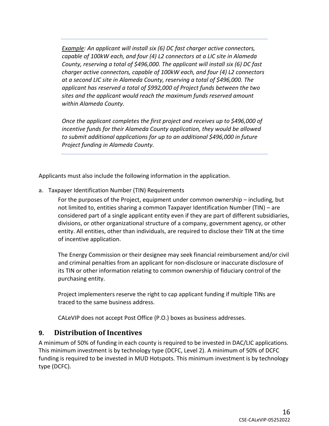*Example: An applicant will install six (6) DC fast charger active connectors, capable of 100kW each, and four (4) L2 connectors at a LIC site in Alameda County, reserving a total of \$496,000. The applicant will install six (6) DC fast charger active connectors, capable of 100kW each, and four (4) L2 connectors at a second LIC site in Alameda County, reserving a total of \$496,000. The applicant has reserved a total of \$992,000 of Project funds between the two sites and the applicant would reach the maximum funds reserved amount within Alameda County.*

*Once the applicant completes the first project and receives up to \$496,000 of incentive funds for their Alameda County application, they would be allowed to submit additional applications for up to an additional \$496,000 in future Project funding in Alameda County.*

Applicants must also include the following information in the application.

a. Taxpayer Identification Number (TIN) Requirements

For the purposes of the Project, equipment under common ownership – including, but not limited to, entities sharing a common Taxpayer Identification Number (TIN) – are considered part of a single applicant entity even if they are part of different subsidiaries, divisions, or other organizational structure of a company, government agency, or other entity. All entities, other than individuals, are required to disclose their TIN at the time of incentive application.

The Energy Commission or their designee may seek financial reimbursement and/or civil and criminal penalties from an applicant for non-disclosure or inaccurate disclosure of its TIN or other information relating to common ownership of fiduciary control of the purchasing entity.

Project implementers reserve the right to cap applicant funding if multiple TINs are traced to the same business address.

CALeVIP does not accept Post Office (P.O.) boxes as business addresses.

### <span id="page-15-0"></span>**9. Distribution of Incentives**

A minimum of 50% of funding in each county is required to be invested in DAC/LIC applications. This minimum investment is by technology type (DCFC, Level 2). A minimum of 50% of DCFC funding is required to be invested in MUD Hotspots. This minimum investment is by technology type (DCFC).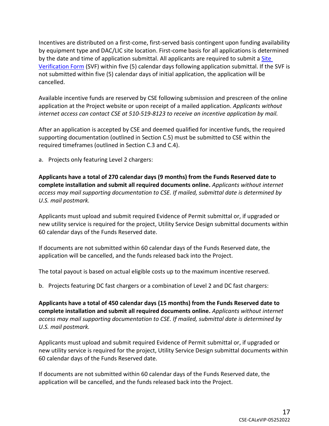Incentives are distributed on a first-come, first-served basis contingent upon funding availability by equipment type and DAC/LIC site location. First-come basis for all applications is determined by the date and time of application submittal. All applicants are required to submit [a Site](https://calevip.org/sites/default/files/docs/alameda-county/site-verification-form.pdf)  [Verification Form](https://calevip.org/sites/default/files/docs/alameda-county/site-verification-form.pdf) (SVF) within five (5) calendar days following application submittal. If the SVF is not submitted within five (5) calendar days of initial application, the application will be cancelled.

Available incentive funds are reserved by CSE following submission and prescreen of the online application at the Project website or upon receipt of a mailed application. *Applicants without internet access can contact CSE at 510-519-8123 to receive an incentive application by mail.*

After an application is accepted by CSE and deemed qualified for incentive funds, the required supporting documentation (outlined in Section [C.5\)](#page-25-0) must be submitted to CSE within the required timeframes (outlined in Section C.3 and C.4).

a. Projects only featuring Level 2 chargers:

**Applicants have a total of 270 calendar days (9 months) from the Funds Reserved date to complete installation and submit all required documents online.** *Applicants without internet access may mail supporting documentation to CSE. If mailed, submittal date is determined by U.S. mail postmark.*

Applicants must upload and submit required Evidence of Permit submittal or, if upgraded or new utility service is required for the project, Utility Service Design submittal documents within 60 calendar days of the Funds Reserved date.

If documents are not submitted within 60 calendar days of the Funds Reserved date, the application will be cancelled, and the funds released back into the Project.

The total payout is based on actual eligible costs up to the maximum incentive reserved.

b. Projects featuring DC fast chargers or a combination of Level 2 and DC fast chargers:

**Applicants have a total of 450 calendar days (15 months) from the Funds Reserved date to complete installation and submit all required documents online.** *Applicants without internet access may mail supporting documentation to CSE. If mailed, submittal date is determined by U.S. mail postmark.*

Applicants must upload and submit required Evidence of Permit submittal or, if upgraded or new utility service is required for the project, Utility Service Design submittal documents within 60 calendar days of the Funds Reserved date.

If documents are not submitted within 60 calendar days of the Funds Reserved date, the application will be cancelled, and the funds released back into the Project.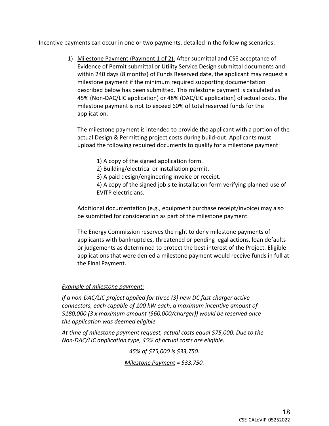Incentive payments can occur in one or two payments, detailed in the following scenarios:

1) Milestone Payment (Payment 1 of 2): After submittal and CSE acceptance of Evidence of Permit submittal or Utility Service Design submittal documents and within 240 days (8 months) of Funds Reserved date, the applicant may request a milestone payment if the minimum required supporting documentation described below has been submitted. This milestone payment is calculated as 45% (Non-DAC/LIC application) or 48% (DAC/LIC application) of actual costs. The milestone payment is not to exceed 60% of total reserved funds for the application.

The milestone payment is intended to provide the applicant with a portion of the actual Design & Permitting project costs during build-out. Applicants must upload the following required documents to qualify for a milestone payment:

- 1) A copy of the signed application form.
- 2) Building/electrical or installation permit.
- 3) A paid design/engineering invoice or receipt.
- 4) A copy of the signed job site installation form verifying planned use of EVITP electricians.

Additional documentation (e.g., equipment purchase receipt/invoice) may also be submitted for consideration as part of the milestone payment.

The Energy Commission reserves the right to deny milestone payments of applicants with bankruptcies, threatened or pending legal actions, loan defaults or judgements as determined to protect the best interest of the Project. Eligible applications that were denied a milestone payment would receive funds in full at the Final Payment.

#### *Example of milestone payment:*

*If a non-DAC/LIC project applied for three (3) new DC fast charger active connectors, each capable of 100 kW each, a maximum incentive amount of \$180,000 (3 x maximum amount (\$60,000/charger)) would be reserved once the application was deemed eligible.* 

*At time of milestone payment request, actual costs equal \$75,000. Due to the Non-DAC/LIC application type, 45% of actual costs are eligible.* 

*45% of \$75,000 is \$33,750.*

*Milestone Payment = \$33,750.*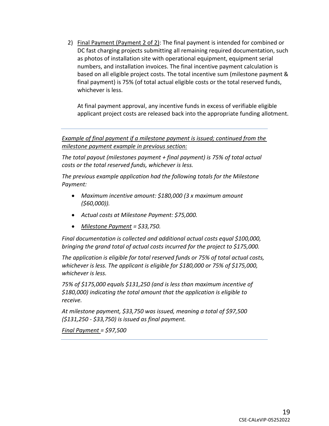2) Final Payment (Payment 2 of 2): The final payment is intended for combined or DC fast charging projects submitting all remaining required documentation, such as photos of installation site with operational equipment, equipment serial numbers, and installation invoices. The final incentive payment calculation is based on all eligible project costs. The total incentive sum (milestone payment & final payment) is 75% (of total actual eligible costs or the total reserved funds, whichever is less.

At final payment approval, any incentive funds in excess of verifiable eligible applicant project costs are released back into the appropriate funding allotment.

*Example of final payment if a milestone payment is issued; continued from the milestone payment example in previous section:*

*The total payout (milestones payment + final payment) is 75% of total actual costs or the total reserved funds, whichever is less.* 

*The previous example application had the following totals for the Milestone Payment:*

- *Maximum incentive amount: \$180,000 (3 x maximum amount (\$60,000)).*
- *Actual costs at Milestone Payment: \$75,000.*
- *Milestone Payment = \$33,750.*

*Final documentation is collected and additional actual costs equal \$100,000, bringing the grand total of actual costs incurred for the project to \$175,000.*

*The application is eligible for total reserved funds or 75% of total actual costs, whichever is less. The applicant is eligible for \$180,000 or 75% of \$175,000, whichever is less.*

*75% of \$175,000 equals \$131,250 (and is less than maximum incentive of \$180,000) indicating the total amount that the application is eligible to receive.*

*At milestone payment, \$33,750 was issued, meaning a total of \$97,500 (\$131,250 - \$33,750) is issued as final payment.* 

*Final Payment = \$97,500*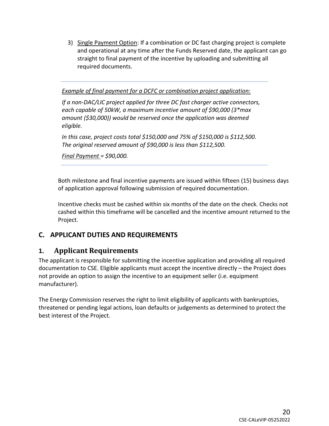3) Single Payment Option: If a combination or DC fast charging project is complete and operational at any time after the Funds Reserved date, the applicant can go straight to final payment of the incentive by uploading and submitting all required documents.

*Example of final payment for a DCFC or combination project application:*

*If a non-DAC/LIC project applied for three DC fast charger active connectors, each capable of 50kW, a maximum incentive amount of \$90,000 (3\*max amount (\$30,000)) would be reserved once the application was deemed eligible.*

*In this case, project costs total \$150,000 and 75% of \$150,000 is \$112,500. The original reserved amount of \$90,000 is less than \$112,500.*

*Final Payment = \$90,000.*

Both milestone and final incentive payments are issued within fifteen (15) business days of application approval following submission of required documentation.

Incentive checks must be cashed within six months of the date on the check. Checks not cashed within this timeframe will be cancelled and the incentive amount returned to the Project.

### <span id="page-19-0"></span>**C. APPLICANT DUTIES AND REQUIREMENTS**

### <span id="page-19-1"></span>**1. Applicant Requirements**

The applicant is responsible for submitting the incentive application and providing all required documentation to CSE. Eligible applicants must accept the incentive directly – the Project does not provide an option to assign the incentive to an equipment seller (i.e. equipment manufacturer).

The Energy Commission reserves the right to limit eligibility of applicants with bankruptcies, threatened or pending legal actions, loan defaults or judgements as determined to protect the best interest of the Project.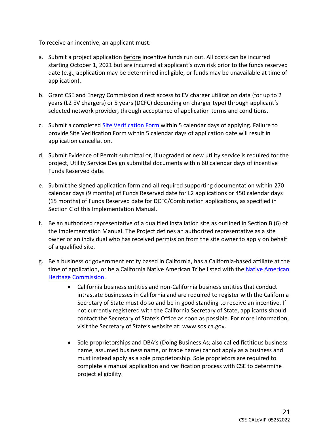To receive an incentive, an applicant must:

- a. Submit a project application before incentive funds run out. All costs can be incurred starting October 1, 2021 but are incurred at applicant's own risk prior to the funds reserved date (e.g., application may be determined ineligible, or funds may be unavailable at time of application).
- b. Grant CSE and Energy Commission direct access to EV charger utilization data (for up to 2 years (L2 EV chargers) or 5 years (DCFC) depending on charger type) through applicant's selected network provider, through acceptance of application terms and conditions.
- c. Submit a completed [Site Verification Form](https://calevip.org/sites/default/files/docs/alameda-county/site-verification-form.pdf) within 5 calendar days of applying. Failure to provide Site Verification Form within 5 calendar days of application date will result in application cancellation.
- d. Submit Evidence of Permit submittal or, if upgraded or new utility service is required for the project, Utility Service Design submittal documents within 60 calendar days of incentive Funds Reserved date.
- e. Submit the signed application form and all required supporting documentation within 270 calendar days (9 months) of Funds Reserved date for L2 applications or 450 calendar days (15 months) of Funds Reserved date for DCFC/Combination applications, as specified in Section C of this Implementation Manual.
- f. Be an authorized representative of a qualified installation site as outlined in Section B (6) of the Implementation Manual. The Project defines an authorized representative as a site owner or an individual who has received permission from the site owner to apply on behalf of a qualified site.
- g. Be a business or government entity based in California, has a California-based affiliate at the time of application, or be a California Native American Tribe listed with the [Native American](http://nahc.ca.gov/)  [Heritage Commission.](http://nahc.ca.gov/)
	- California business entities and non-California business entities that conduct intrastate businesses in California and are required to register with the California Secretary of State must do so and be in good standing to receive an incentive. If not currently registered with the California Secretary of State, applicants should contact the Secretary of State's Office as soon as possible. For more information, visit the Secretary of State's website at: [www.sos.ca.gov.](http://www.sos.ca.gov/)
	- Sole proprietorships and DBA's (Doing Business As; also called fictitious business name, assumed business name, or trade name) cannot apply as a business and must instead apply as a sole proprietorship. Sole proprietors are required to complete a manual application and verification process with CSE to determine project eligibility.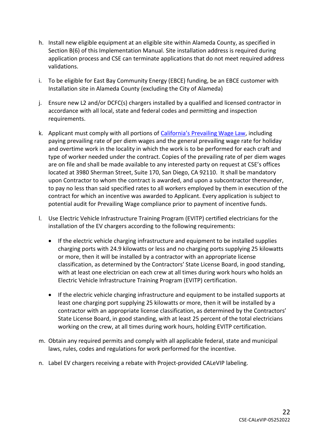- h. Install new eligible equipment at an eligible site within Alameda County, as specified in Section B(6) of this Implementation Manual. Site installation address is required during application process and CSE can terminate applications that do not meet required address validations.
- i. To be eligible for East Bay Community Energy (EBCE) funding, be an EBCE customer with Installation site in Alameda County (excluding the City of Alameda)
- j. Ensure new L2 and/or DCFC(s) chargers installed by a qualified and licensed contractor in accordance with all local, state and federal codes and permitting and inspection requirements.
- k. Applicant must comply with all portions of [California's Prevailing Wage Law](https://www.dir.ca.gov/public-works/californiaprevailingwagelaws.pdf), including paying prevailing rate of per diem wages and the general prevailing wage rate for holiday and overtime work in the locality in which the work is to be performed for each craft and type of worker needed under the contract. Copies of the prevailing rate of per diem wages are on file and shall be made available to any interested party on request at CSE's offices located at 3980 Sherman Street, Suite 170, San Diego, CA 92110. It shall be mandatory upon Contractor to whom the contract is awarded, and upon a subcontractor thereunder, to pay no less than said specified rates to all workers employed by them in execution of the contract for which an incentive was awarded to Applicant. Every application is subject to potential audit for Prevailing Wage compliance prior to payment of incentive funds.
- l. Use Electric Vehicle Infrastructure Training Program (EVITP) certified electricians for the installation of the EV chargers according to the following requirements:
	- If the electric vehicle charging infrastructure and equipment to be installed supplies charging ports with 24.9 kilowatts or less and no charging ports supplying 25 kilowatts or more, then it will be installed by a contractor with an appropriate license classification, as determined by the Contractors' State License Board, in good standing, with at least one electrician on each crew at all times during work hours who holds an Electric Vehicle Infrastructure Training Program (EVITP) certification.
	- If the electric vehicle charging infrastructure and equipment to be installed supports at least one charging port supplying 25 kilowatts or more, then it will be installed by a contractor with an appropriate license classification, as determined by the Contractors' State License Board, in good standing, with at least 25 percent of the total electricians working on the crew, at all times during work hours, holding EVITP certification.
- m. Obtain any required permits and comply with all applicable federal, state and municipal laws, rules, codes and regulations for work performed for the incentive.
- n. Label EV chargers receiving a rebate with Project-provided CALeVIP labeling.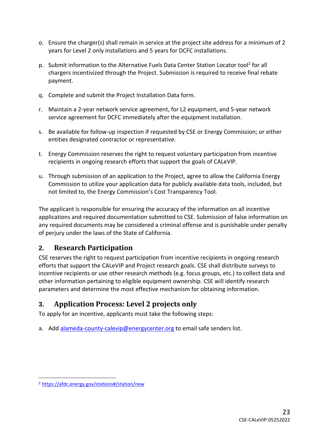- o. Ensure the charger(s) shall remain in service at the project site address for a minimum of 2 years for Level 2 only installations and 5 years for DCFC installations.
- p. Submit information to the [Alternative Fuels Data Center Station Locator tool](https://www.afdc.energy.gov/stations/#/find/nearest)<sup>2</sup> for all chargers incentivized through the Project. Submission is required to receive final rebate payment.
- q. Complete and submit the Project Installation Data form.
- r. Maintain a 2-year network service agreement, for L2 equipment, and 5-year network service agreement for DCFC immediately after the equipment installation.
- s. Be available for follow-up inspection if requested by CSE or Energy Commission; or either entities designated contractor or representative.
- t. Energy Commission reserves the right to request voluntary participation from incentive recipients in ongoing research efforts that support the goals of CALeVIP.
- u. Through submission of an application to the Project, agree to allow the California Energy Commission to utilize your application data for publicly available data tools, included, but not limited to, the Energy Commission's Cost Transparency Tool.

The applicant is responsible for ensuring the accuracy of the information on all incentive applications and required documentation submitted to CSE. Submission of false information on any required documents may be considered a criminal offense and is punishable under penalty of perjury under the laws of the State of California.

### <span id="page-22-0"></span>**2. Research Participation**

CSE reserves the right to request participation from incentive recipients in ongoing research efforts that support the CALeVIP and Project research goals. CSE shall distribute surveys to incentive recipients or use other research methods (e.g. focus groups, etc.) to collect data and other information pertaining to eligible equipment ownership. CSE will identify research parameters and determine the most effective mechanism for obtaining information.

# <span id="page-22-1"></span>**3. Application Process: Level 2 projects only**

To apply for an incentive, applicants must take the following steps:

a. Add [alameda-county-calevip@energycenter.org](mailto:alameda-county-calevip@energycenter.org) to email safe senders list.

<sup>2</sup> <https://afdc.energy.gov/stations#/station/new>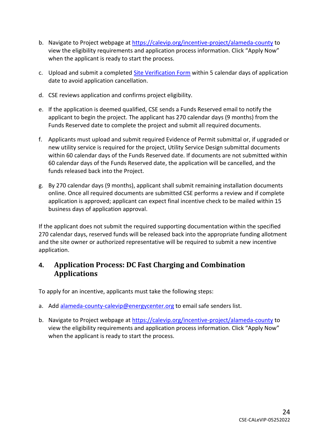- b. Navigate to Project webpage at<https://calevip.org/incentive-project/alameda-county> to view the eligibility requirements and application process information. Click "Apply Now" when the applicant is ready to start the process.
- c. Upload and submit a completed [Site Verification Form](https://calevip.org/sites/default/files/docs/alameda-county/site-verification-form.pdf) within 5 calendar days of application date to avoid application cancellation.
- d. CSE reviews application and confirms project eligibility.
- e. If the application is deemed qualified, CSE sends a Funds Reserved email to notify the applicant to begin the project. The applicant has 270 calendar days (9 months) from the Funds Reserved date to complete the project and submit all required documents.
- f. Applicants must upload and submit required Evidence of Permit submittal or, if upgraded or new utility service is required for the project, Utility Service Design submittal documents within 60 calendar days of the Funds Reserved date. If documents are not submitted within 60 calendar days of the Funds Reserved date, the application will be cancelled, and the funds released back into the Project.
- g. By 270 calendar days (9 months), applicant shall submit remaining installation documents online. Once all required documents are submitted CSE performs a review and if complete application is approved; applicant can expect final incentive check to be mailed within 15 business days of application approval.

If the applicant does not submit the required supporting documentation within the specified 270 calendar days, reserved funds will be released back into the appropriate funding allotment and the site owner or authorized representative will be required to submit a new incentive application.

### <span id="page-23-0"></span>**4. Application Process: DC Fast Charging and Combination Applications**

To apply for an incentive, applicants must take the following steps:

- a. Add [alameda-county-calevip@energycenter.org](mailto:alameda-county-calevip@energycenter.org) to email safe senders list.
- b. Navigate to Project webpage at<https://calevip.org/incentive-project/alameda-county> to view the eligibility requirements and application process information. Click "Apply Now" when the applicant is ready to start the process.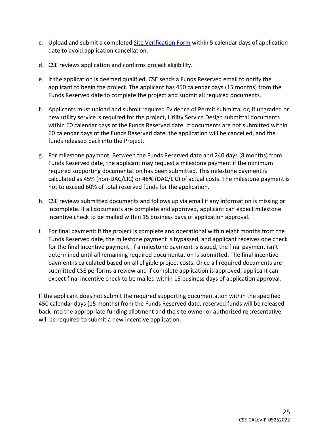- c. Upload and submit a completed [Site Verification Form](https://calevip.org/sites/default/files/docs/alameda-county/site-verification-form.pdf) within 5 calendar days of application date to avoid application cancellation.
- d. CSE reviews application and confirms project eligibility.
- e. If the application is deemed qualified, CSE sends a Funds Reserved email to notify the applicant to begin the project. The applicant has 450 calendar days (15 months) from the Funds Reserved date to complete the project and submit all required documents.
- f. Applicants must upload and submit required Evidence of Permit submittal or, if upgraded or new utility service is required for the project, Utility Service Design submittal documents within 60 calendar days of the Funds Reserved date. If documents are not submitted within 60 calendar days of the Funds Reserved date, the application will be cancelled, and the funds released back into the Project.
- g. For milestone payment: Between the Funds Reserved date and 240 days (8 months) from Funds Reserved date, the applicant may request a milestone payment if the minimum required supporting documentation has been submitted. This milestone payment is calculated as 45% (non-DAC/LIC) or 48% (DAC/LIC) of actual costs. The milestone payment is not to exceed 60% of total reserved funds for the application.
- h. CSE reviews submitted documents and follows up via email if any information is missing or incomplete. If all documents are complete and approved, applicant can expect milestone incentive check to be mailed within 15 business days of application approval.
- i. For final payment: If the project is complete and operational within eight months from the Funds Reserved date, the milestone payment is bypassed, and applicant receives one check for the final incentive payment. If a milestone payment is issued, the final payment isn't determined until all remaining required documentation is submitted. The final incentive payment is calculated based on all eligible project costs. Once all required documents are submitted CSE performs a review and if complete application is approved; applicant can expect final incentive check to be mailed within 15 business days of application approval.

If the applicant does not submit the required supporting documentation within the specified 450 calendar days (15 months) from the Funds Reserved date, reserved funds will be released back into the appropriate funding allotment and the site owner or authorized representative will be required to submit a new incentive application.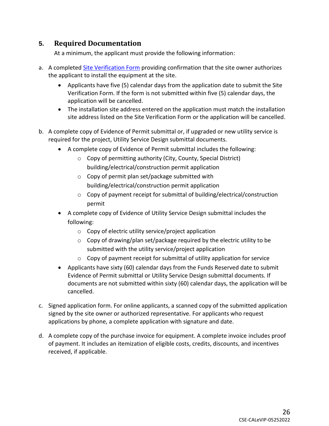### <span id="page-25-0"></span>**5. Required Documentation**

At a minimum, the applicant must provide the following information:

- a. A completed [Site Verification Form](https://calevip.org/sites/default/files/docs/alameda-county/site-verification-form.pdf) providing confirmation that the site owner authorizes the applicant to install the equipment at the site.
	- Applicants have five (5) calendar days from the application date to submit the Site Verification Form. If the form is not submitted within five (5) calendar days, the application will be cancelled.
	- The installation site address entered on the application must match the installation site address listed on the Site Verification Form or the application will be cancelled.
- b. A complete copy of Evidence of Permit submittal or, if upgraded or new utility service is required for the project, Utility Service Design submittal documents.
	- A complete copy of Evidence of Permit submittal includes the following:
		- o Copy of permitting authority (City, County, Special District) building/electrical/construction permit application
		- o Copy of permit plan set/package submitted with building/electrical/construction permit application
		- o Copy of payment receipt for submittal of building/electrical/construction permit
	- A complete copy of Evidence of Utility Service Design submittal includes the following:
		- o Copy of electric utility service/project application
		- $\circ$  Copy of drawing/plan set/package required by the electric utility to be submitted with the utility service/project application
		- $\circ$  Copy of payment receipt for submittal of utility application for service
	- Applicants have sixty (60) calendar days from the Funds Reserved date to submit Evidence of Permit submittal or Utility Service Design submittal documents. If documents are not submitted within sixty (60) calendar days, the application will be cancelled.
- c. Signed application form. For online applicants, a scanned copy of the submitted application signed by the site owner or authorized representative. For applicants who request applications by phone, a complete application with signature and date.
- d. A complete copy of the purchase invoice for equipment. A complete invoice includes proof of payment. It includes an itemization of eligible costs, credits, discounts, and incentives received, if applicable.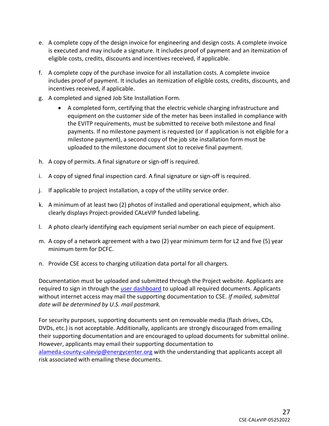- e. A complete copy of the design invoice for engineering and design costs. A complete invoice is executed and may include a signature. It includes proof of payment and an itemization of eligible costs, credits, discounts and incentives received, if applicable.
- f. A complete copy of the purchase invoice for all installation costs. A complete invoice includes proof of payment. It includes an itemization of eligible costs, credits, discounts, and incentives received, if applicable.
- g. A completed and signed Job Site Installation Form.
	- A completed form, certifying that the electric vehicle charging infrastructure and equipment on the customer side of the meter has been installed in compliance with the EVITP requirements, must be submitted to receive both milestone and final payments. If no milestone payment is requested (or if application is not eligible for a milestone payment), a second copy of the job site installation form must be uploaded to the milestone document slot to receive final payment.
- h. A copy of permits. A final signature or sign-off is required.
- i. A copy of signed final inspection card. A final signature or sign-off is required.
- j. If applicable to project installation, a copy of the utility service order.
- k. A minimum of at least two (2) photos of installed and operational equipment, which also clearly displays Project-provided CALeVIP funded labeling.
- l. A photo clearly identifying each equipment serial number on each piece of equipment.
- m. A copy of a network agreement with a two (2) year minimum term for L2 and five (5) year minimum term for DCFC.
- n. Provide CSE access to charging utilization data portal for all chargers.

Documentation must be uploaded and submitted through the Project website. Applicants are required to sign in through the [user dashboard](https://calevip.org/user/login) to upload all required documents. Applicants without internet access may mail the supporting documentation to CSE. *If mailed, submittal date will be determined by U.S. mail postmark.*

For security purposes, supporting documents sent on removable media (flash drives, CDs, DVDs, etc.) is not acceptable. Additionally, applicants are strongly discouraged from emailing their supporting documentation and are encouraged to upload documents for submittal online. However, applicants may email their supporting documentation to [alameda-county-calevip@energycenter.org](mailto:alameda-county-calevip@energycenter.org) with the understanding that applicants accept all risk associated with emailing these documents.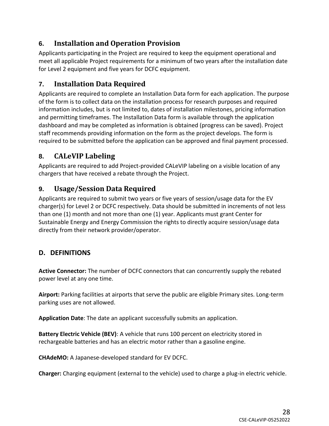# <span id="page-27-0"></span>**6. Installation and Operation Provision**

Applicants participating in the Project are required to keep the equipment operational and meet all applicable Project requirements for a minimum of two years after the installation date for Level 2 equipment and five years for DCFC equipment.

# <span id="page-27-1"></span>**7. Installation Data Required**

Applicants are required to complete an Installation Data form for each application. The purpose of the form is to collect data on the installation process for research purposes and required information includes, but is not limited to, dates of installation milestones, pricing information and permitting timeframes. The Installation Data form is available through the application dashboard and may be completed as information is obtained (progress can be saved). Project staff recommends providing information on the form as the project develops. The form is required to be submitted before the application can be approved and final payment processed.

# <span id="page-27-2"></span>**8. CALeVIP Labeling**

Applicants are required to add Project-provided CALeVIP labeling on a visible location of any chargers that have received a rebate through the Project.

# <span id="page-27-3"></span>**9. Usage/Session Data Required**

Applicants are required to submit two years or five years of session/usage data for the EV charger(s) for Level 2 or DCFC respectively. Data should be submitted in increments of not less than one (1) month and not more than one (1) year. Applicants must grant Center for Sustainable Energy and Energy Commission the rights to directly acquire session/usage data directly from their network provider/operator.

# <span id="page-27-4"></span>**D. DEFINITIONS**

**Active Connector:** The number of DCFC connectors that can concurrently supply the rebated power level at any one time.

**Airport:** Parking facilities at airports that serve the public are eligible Primary sites. Long-term parking uses are not allowed.

**Application Date**: The date an applicant successfully submits an application.

**Battery Electric Vehicle (BEV)**: A vehicle that runs 100 percent on electricity stored in rechargeable batteries and has an electric motor rather than a gasoline engine.

**CHAdeMO:** A Japanese-developed standard for EV DCFC.

**Charger:** Charging equipment (external to the vehicle) used to charge a plug-in electric vehicle.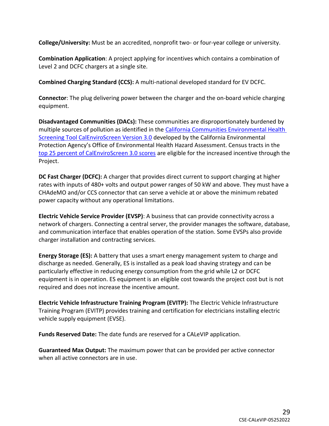**College/University:** Must be an accredited, nonprofit two- or four-year college or university.

**Combination Application**: A project applying for incentives which contains a combination of Level 2 and DCFC chargers at a single site.

**Combined Charging Standard (CCS):** A multi-national developed standard for EV DCFC.

**Connector**: The plug delivering power between the charger and the on-board vehicle charging equipment.

**Disadvantaged Communities (DACs):** These communities are disproportionately burdened by multiple sources of pollution as identified in the California Communities Environmental Health [Screening Tool CalEnviroScreen Version 3.0](https://oehha.ca.gov/calenviroscreen/report/calenviroscreen-30) developed by the California Environmental Protection Agency's Office of Environmental Health Hazard Assessment. Census tracts in the top 25 [percent of CalEnviroScreen 3.0 scores](https://webmaps.arb.ca.gov/PriorityPopulations/) are eligible for the increased incentive through the Project.

**DC Fast Charger (DCFC):** A charger that provides direct current to support charging at higher rates with inputs of 480+ volts and output power ranges of 50 kW and above. They must have a CHAdeMO and/or CCS connector that can serve a vehicle at or above the minimum rebated power capacity without any operational limitations.

**Electric Vehicle Service Provider (EVSP)**: A business that can provide connectivity across a network of chargers. Connecting a central server, the provider manages the software, database, and communication interface that enables operation of the station. Some EVSPs also provide charger installation and contracting services.

**Energy Storage (ES):** A battery that uses a smart energy management system to charge and discharge as needed. Generally, ES is installed as a peak load shaving strategy and can be particularly effective in reducing energy consumption from the grid while L2 or DCFC equipment is in operation. ES equipment is an eligible cost towards the project cost but is not required and does not increase the incentive amount.

**Electric Vehicle Infrastructure Training Program (EVITP):** The Electric Vehicle Infrastructure Training Program (EVITP) provides training and certification for electricians installing electric vehicle supply equipment (EVSE).

**Funds Reserved Date:** The date funds are reserved for a CALeVIP application.

**Guaranteed Max Output:** The maximum power that can be provided per active connector when all active connectors are in use.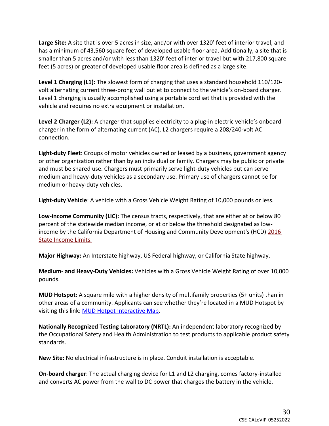**Large Site:** A site that is over 5 acres in size, and/or with over 1320' feet of interior travel, and has a minimum of 43,560 square feet of developed usable floor area. Additionally, a site that is smaller than 5 acres and/or with less than 1320' feet of interior travel but with 217,800 square feet (5 acres) or greater of developed usable floor area is defined as a large site.

**Level 1 Charging (L1):** The slowest form of charging that uses a standard household 110/120 volt alternating current three-prong wall outlet to connect to the vehicle's on-board charger. Level 1 charging is usually accomplished using a portable cord set that is provided with the vehicle and requires no extra equipment or installation.

**Level 2 Charger (L2):** A charger that supplies electricity to a plug-in electric vehicle's onboard charger in the form of alternating current (AC). L2 chargers require a 208/240-volt AC connection.

**Light-duty Fleet**: Groups of motor vehicles owned or leased by a business, government agency or other organization rather than by an individual or family. Chargers may be public or private and must be shared use. Chargers must primarily serve light-duty vehicles but can serve medium and heavy-duty vehicles as a secondary use. Primary use of chargers cannot be for medium or heavy-duty vehicles.

**Light-duty Vehicle**: A vehicle with a Gross Vehicle Weight Rating of 10,000 pounds or less.

**Low-income Community (LIC):** The census tracts, respectively, that are either at or below 80 percent of the statewide median income, or at or below the threshold designated as lowincome by the California Department of Housing and Community Development's (HCD) [2016](http://www.hcd.ca.gov/grants-funding/income-limits/state-and-federal-income-limits/docs/inc2k16.pdf) State [Income](http://www.hcd.ca.gov/grants-funding/income-limits/state-and-federal-income-limits/docs/inc2k16.pdf) Limits.

**Major Highway:** An Interstate highway, US Federal highway, or California State highway.

**Medium- and Heavy-Duty Vehicles:** Vehicles with a Gross Vehicle Weight Rating of over 10,000 pounds.

**MUD Hotspot:** A square mile with a higher density of multifamily properties (5+ units) than in other areas of a community. Applicants can see whether they're located in a MUD Hotspot by visiting this link[: MUD Hotpot Interactive Map.](https://www.google.com/maps/d/edit?mid=1IiJxkT5Rgg7wdcTRpOxplX6f0-tJjuEQ&usp=sharing)

**Nationally Recognized Testing Laboratory (NRTL):** An independent laboratory recognized by the Occupational Safety and Health Administration to test products to applicable product safety standards.

**New Site:** No electrical infrastructure is in place. Conduit installation is acceptable.

**On-board charger**: The actual charging device for L1 and L2 charging, comes factory-installed and converts AC power from the wall to DC power that charges the battery in the vehicle.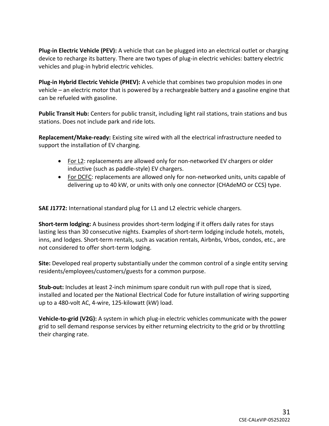**Plug-in Electric Vehicle (PEV):** A vehicle that can be plugged into an electrical outlet or charging device to recharge its battery. There are two types of plug-in electric vehicles: battery electric vehicles and plug-in hybrid electric vehicles.

**Plug-in Hybrid Electric Vehicle (PHEV):** A vehicle that combines two propulsion modes in one vehicle – an electric motor that is powered by a rechargeable battery and a gasoline engine that can be refueled with gasoline.

**Public Transit Hub:** Centers for public transit, including light rail stations, train stations and bus stations. Does not include park and ride lots.

**Replacement/Make-ready:** Existing site wired with all the electrical infrastructure needed to support the installation of EV charging.

- For L2: replacements are allowed only for non-networked EV chargers or older inductive (such as paddle-style) EV chargers.
- For DCFC: replacements are allowed only for non-networked units, units capable of delivering up to 40 kW, or units with only one connector (CHAdeMO or CCS) type.

**SAE J1772:** International standard plug for L1 and L2 electric vehicle chargers.

**Short-term lodging:** A business provides short-term lodging if it offers daily rates for stays lasting less than 30 consecutive nights. Examples of short-term lodging include hotels, motels, inns, and lodges. Short-term rentals, such as vacation rentals, Airbnbs, Vrbos, condos, etc., are not considered to offer short-term lodging.

**Site:** Developed real property substantially under the common control of a single entity serving residents/employees/customers/guests for a common purpose.

**Stub-out:** Includes at least 2-inch minimum spare conduit run with pull rope that is sized, installed and located per the National Electrical Code for future installation of wiring supporting up to a 480-volt AC, 4-wire, 125-kilowatt (kW) load.

**Vehicle-to-grid (V2G):** A system in which plug-in electric vehicles communicate with the power grid to sell demand response services by either returning electricity to the grid or by throttling their charging rate.